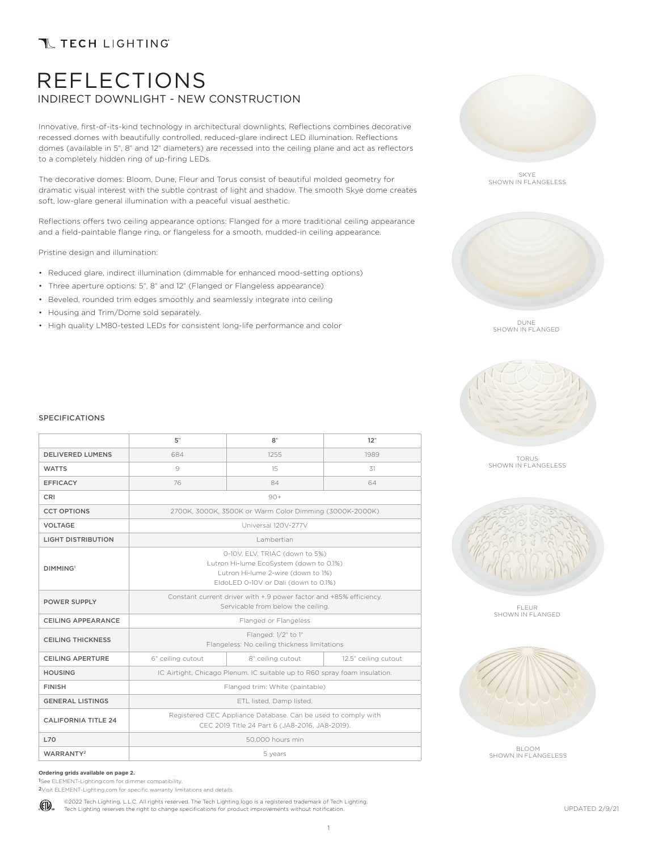## **T TECH LIGHTING**

## REFLECTIONS INDIRECT DOWNLIGHT - NEW CONSTRUCTION

Innovative, first-of-its-kind technology in architectural downlights, Reflections combines decorative recessed domes with beautifully controlled, reduced-glare indirect LED illumination. Reflections domes (available in 5", 8" and 12" diameters) are recessed into the ceiling plane and act as reflectors to a completely hidden ring of up-firing LEDs.

The decorative domes: Bloom, Dune, Fleur and Torus consist of beautiful molded geometry for dramatic visual interest with the subtle contrast of light and shadow. The smooth Skye dome creates soft, low-glare general illumination with a peaceful visual aesthetic.

Reflections offers two ceiling appearance options: Flanged for a more traditional ceiling appearance and a field-paintable flange ring, or flangeless for a smooth, mudded-in ceiling appearance.

Pristine design and illumination:

- Reduced glare, indirect illumination (dimmable for enhanced mood-setting options)
- Three aperture options: 5", 8" and 12" (Flanged or Flangeless appearance)
- Beveled, rounded trim edges smoothly and seamlessly integrate into ceiling
- Housing and Trim/Dome sold separately.
- High quality LM80-tested LEDs for consistent long-life performance and color



SKYE SHOWN IN FLANGELESS



DUNE SHOWN IN FLANGED



### TORUS SHOWN IN FLANGELESS



FLEUR SHOWN IN FLANGED



BLOOM SHOWN IN FLANGELESS

#### SPECIFICATIONS

|                            | 5"                                                                                                                                                      | 8"                | 12"                  |  |  |
|----------------------------|---------------------------------------------------------------------------------------------------------------------------------------------------------|-------------------|----------------------|--|--|
| <b>DELIVERED LUMENS</b>    | 684                                                                                                                                                     | 1255              | 1989                 |  |  |
| <b>WATTS</b>               | 9                                                                                                                                                       | 15                | 31                   |  |  |
| <b>EFFICACY</b>            | 76                                                                                                                                                      | 84                | 64                   |  |  |
| CRI                        | $90+$                                                                                                                                                   |                   |                      |  |  |
| <b>CCT OPTIONS</b>         | 2700K, 3000K, 3500K or Warm Color Dimming (3000K-2000K)                                                                                                 |                   |                      |  |  |
| <b>VOLTAGE</b>             | Universal 120V-277V                                                                                                                                     |                   |                      |  |  |
| <b>LIGHT DISTRIBUTION</b>  | I ambertian                                                                                                                                             |                   |                      |  |  |
| DIMMING <sup>1</sup>       | 0-10V, ELV, TRIAC (down to 5%)<br>Lutron Hi-lume EcoSystem (down to 0.1%)<br>Lutron Hi-lume 2-wire (down to 1%)<br>EldoLED 0-10V or Dali (down to 0.1%) |                   |                      |  |  |
| <b>POWER SUPPLY</b>        | Constant current driver with +.9 power factor and +85% efficiency.<br>Servicable from below the ceiling.                                                |                   |                      |  |  |
| <b>CEILING APPEARANCE</b>  | Flanged or Flangeless                                                                                                                                   |                   |                      |  |  |
| <b>CEILING THICKNESS</b>   | Flanged: 1/2" to 1"<br>Flangeless: No ceiling thickness limitations                                                                                     |                   |                      |  |  |
| <b>CEILING APERTURE</b>    | 6" ceiling cutout                                                                                                                                       | 8" ceiling cutout | 12.5" ceiling cutout |  |  |
| <b>HOUSING</b>             | IC Airtight, Chicago Plenum. IC suitable up to R60 spray foam insulation.                                                                               |                   |                      |  |  |
| <b>FINISH</b>              | Flanged trim: White (paintable)                                                                                                                         |                   |                      |  |  |
| <b>GENERAL LISTINGS</b>    | ETL listed. Damp listed.                                                                                                                                |                   |                      |  |  |
| <b>CALIFORNIA TITLE 24</b> | Registered CEC Appliance Database. Can be used to comply with<br>CEC 2019 Title 24 Part 6 (JA8-2016, JA8-2019).                                         |                   |                      |  |  |
| L70                        | 50,000 hours min                                                                                                                                        |                   |                      |  |  |
| WARRANTY <sup>2</sup>      | 5 years                                                                                                                                                 |                   |                      |  |  |

#### **Ordering grids available on page 2.**

1See ELEMENT-Lighting.com for dimmer compatibility.

2Visit ELEMENT-Lighting.com for specific warranty limitations and details.

©2022 Tech Lighting, L.L.C. All rights reserved. The Tech Lighting logo is a registered trademark of Tech Lighting. (ETL) Tech Lighting reserves the right to change specifications for product improvements without notification.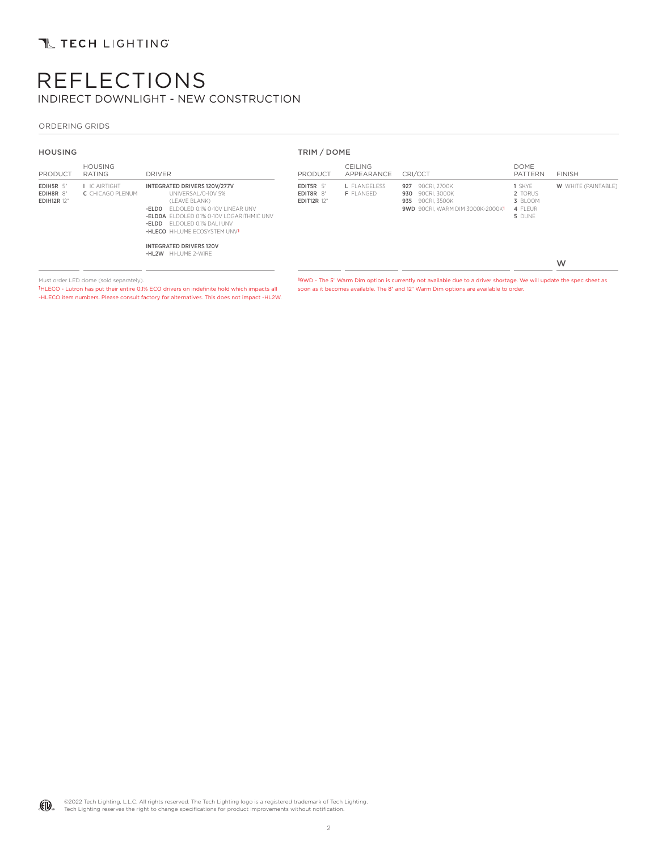# REFLECTIONS INDIRECT DOWNLIGHT - NEW CONSTRUCTION

### ORDERING GRIDS

| <b>HOUSING</b>                               |                                                 | TRIM / DOME                                                                                                                                                                                                                |                                              |                                         |                                                                                              |                                                   |                            |
|----------------------------------------------|-------------------------------------------------|----------------------------------------------------------------------------------------------------------------------------------------------------------------------------------------------------------------------------|----------------------------------------------|-----------------------------------------|----------------------------------------------------------------------------------------------|---------------------------------------------------|----------------------------|
| PRODUCT                                      | <b>HOUSING</b><br>RATING                        | <b>DRIVER</b>                                                                                                                                                                                                              | PRODUCT                                      | <b>CEILING</b><br>APPEARANCE            | CRI/CCT                                                                                      | <b>DOME</b><br><b>PATTERN</b>                     | <b>FINISH</b>              |
| EDIH5R 5"<br>EDIH8R 8"<br><b>EDIH12R 12"</b> | <b>I</b> IC AIRTIGHT<br><b>C</b> CHICAGO PLENUM | INTEGRATED DRIVERS 120V/277V<br>UNIVERSAL/0-10V 5%<br>(LEAVE BLANK)<br>FLDOLED 0.1% 0-10V LINEAR UNV<br>-ELDO<br>-ELDOA ELDOLED 0.1% 0-10V LOGARITHMIC UNV<br>-ELDD ELDOLED 0.1% DALI UNV<br>-HLECO HI-LUME ECOSYSTEM UNV1 | EDIT5R 5"<br>EDIT8R 8"<br><b>EDIT12R 12"</b> | <b>L</b> FLANGELESS<br><b>F</b> FLANGED | 927 90CRI. 2700K<br>930 90CRI. 3000K<br>935 90CRI. 3500K<br>9WD 90CRI. WARM DIM 3000K-2000K1 | 1 SKYE<br>2 TORUS<br>3 BLOOM<br>4 FLEUR<br>5 DUNE | <b>W</b> WHITE (PAINTABLE) |
|                                              |                                                 | <b>INTEGRATED DRIVERS 120V</b><br>-HL2W HI-LUME 2-WIRE                                                                                                                                                                     |                                              |                                         |                                                                                              |                                                   | W                          |

Must order LED dome (sold separately).

1HLECO - Lutron has put their entire 0.1% ECO drivers on indefinite hold which impacts all -HLECO item numbers. Please consult factory for alternatives. This does not impact -HL2W. 19WD - The 5" Warm Dim option is currently not available due to a driver shortage. We will update the spec sheet as soon as it becomes available. The 8" and 12" Warm Dim options are available to order.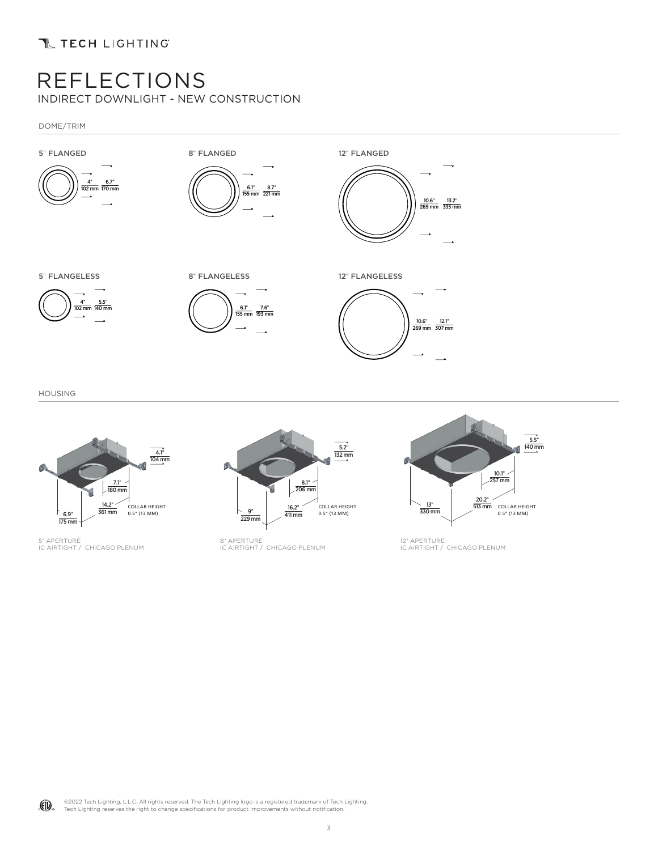# REFLECTIONS

INDIRECT DOWNLIGHT - NEW CONSTRUCTION

DOME/TRIM



HOUSING



5" APERTURE<br>IC AIRTIGHT / CHICAGO PLENUM



8" APERTURE IC AIRTIGHT / CHICAGO PLENUM



12" APERTURE<br>IC AIRTIGHT / CHICAGO PLENUM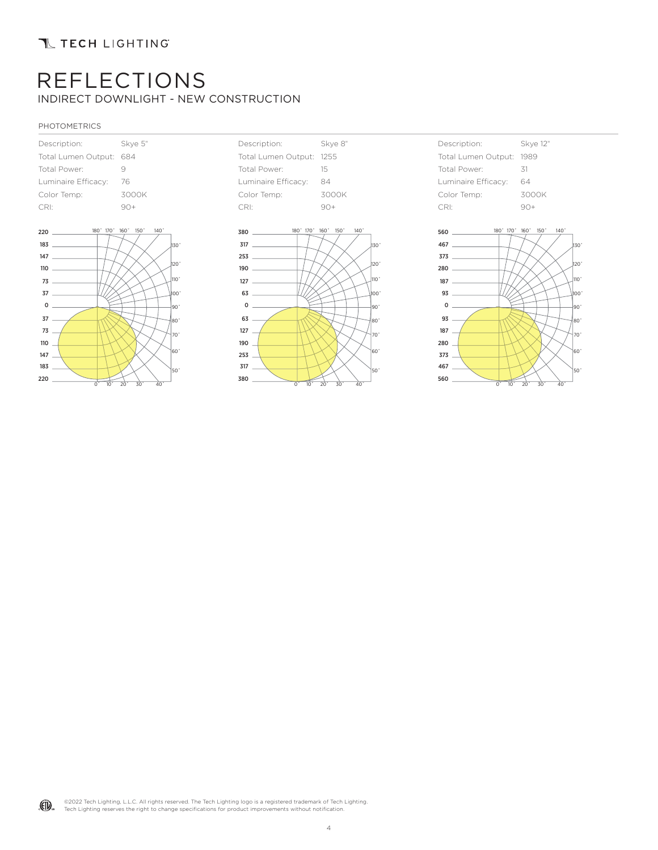# REFLECTIONS INDIRECT DOWNLIGHT - NEW CONSTRUCTION

### PHOTOMETRICS

| Description:        | Skve 5" |  |
|---------------------|---------|--|
| Total Lumen Output: | 684     |  |
| Total Power:        | q       |  |
| Luminaire Efficacy: | 76      |  |
| Color Temp:         | 3000K   |  |
| CRI:                |         |  |







| Description:        | <b>Skye 12"</b> |  |  |
|---------------------|-----------------|--|--|
| Total Lumen Output: | 1989            |  |  |
| Total Power:        | 31              |  |  |
| Luminaire Efficacy: | 64              |  |  |
| Color Temp:         | 3000K           |  |  |
| CRI <sup>.</sup>    | $90+$           |  |  |



©2022 Tech Lighting, L.L.C. All rights reserved. The Tech Lighting logo is a registered trademark of Tech Lighting. (FI) Tech Lighting reserves the right to change specifications for product improvements without notification.